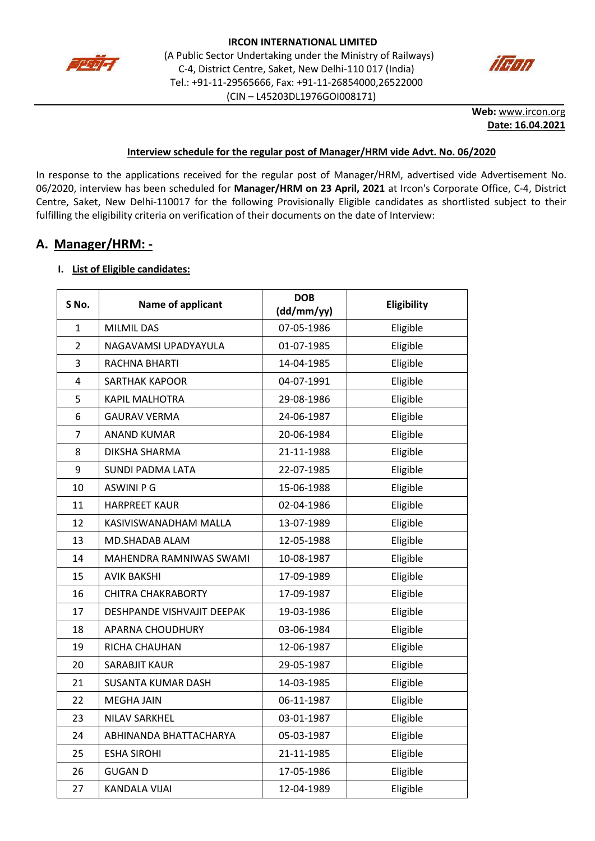



**Web:** [www.ircon.org](http://www.ircon.org/) **Date: 16.04.2021**

### **Interview schedule for the regular post of Manager/HRM vide Advt. No. 06/2020**

In response to the applications received for the regular post of Manager/HRM, advertised vide Advertisement No. 06/2020, interview has been scheduled for **Manager/HRM on 23 April, 2021** at Ircon's Corporate Office, C-4, District Centre, Saket, New Delhi-110017 for the following Provisionally Eligible candidates as shortlisted subject to their fulfilling the eligibility criteria on verification of their documents on the date of Interview:

## **A. Manager/HRM: -**

### **I. List of Eligible candidates:**

| S No.          | Name of applicant          | <b>DOB</b><br>(dd/mm/yy) | Eligibility |
|----------------|----------------------------|--------------------------|-------------|
| 1              | <b>MILMIL DAS</b>          | 07-05-1986               | Eligible    |
| $\overline{2}$ | NAGAVAMSI UPADYAYULA       | 01-07-1985               | Eligible    |
| 3              | RACHNA BHARTI              | 14-04-1985               | Eligible    |
| 4              | <b>SARTHAK KAPOOR</b>      | 04-07-1991               | Eligible    |
| 5              | <b>KAPIL MALHOTRA</b>      | 29-08-1986               | Eligible    |
| 6              | <b>GAURAV VERMA</b>        | 24-06-1987               | Eligible    |
| $\overline{7}$ | <b>ANAND KUMAR</b>         | 20-06-1984               | Eligible    |
| 8              | DIKSHA SHARMA              | 21-11-1988               | Eligible    |
| 9              | <b>SUNDI PADMA LATA</b>    | 22-07-1985               | Eligible    |
| 10             | <b>ASWINI P G</b>          | 15-06-1988               | Eligible    |
| 11             | <b>HARPREET KAUR</b>       | 02-04-1986               | Eligible    |
| 12             | KASIVISWANADHAM MALLA      | 13-07-1989               | Eligible    |
| 13             | MD.SHADAB ALAM             | 12-05-1988               | Eligible    |
| 14             | MAHENDRA RAMNIWAS SWAMI    | 10-08-1987               | Eligible    |
| 15             | <b>AVIK BAKSHI</b>         | 17-09-1989               | Eligible    |
| 16             | <b>CHITRA CHAKRABORTY</b>  | 17-09-1987               | Eligible    |
| 17             | DESHPANDE VISHVAJIT DEEPAK | 19-03-1986               | Eligible    |
| 18             | APARNA CHOUDHURY           | 03-06-1984               | Eligible    |
| 19             | RICHA CHAUHAN              | 12-06-1987               | Eligible    |
| 20             | SARABJIT KAUR              | 29-05-1987               | Eligible    |
| 21             | <b>SUSANTA KUMAR DASH</b>  | 14-03-1985               | Eligible    |
| 22             | <b>MEGHA JAIN</b>          | 06-11-1987               | Eligible    |
| 23             | <b>NILAV SARKHEL</b>       | 03-01-1987               | Eligible    |
| 24             | ABHINANDA BHATTACHARYA     | 05-03-1987               | Eligible    |
| 25             | <b>ESHA SIROHI</b>         | 21-11-1985               | Eligible    |
| 26             | <b>GUGAN D</b>             | 17-05-1986               | Eligible    |
| 27             | KANDALA VIJAI              | 12-04-1989               | Eligible    |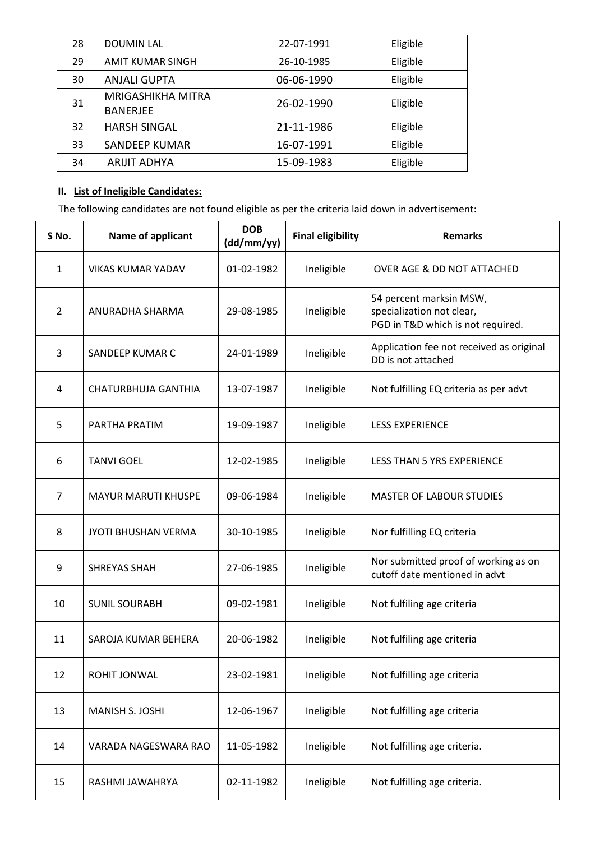| 28 | <b>DOUMIN LAL</b>        | 22-07-1991 | Eligible |
|----|--------------------------|------------|----------|
| 29 | AMIT KUMAR SINGH         | 26-10-1985 | Eligible |
| 30 | <b>ANJALI GUPTA</b>      | 06-06-1990 | Eligible |
| 31 | <b>MRIGASHIKHA MITRA</b> | 26-02-1990 | Eligible |
|    | <b>BANERJEE</b>          |            |          |
| 32 | <b>HARSH SINGAL</b>      | 21-11-1986 | Eligible |
| 33 | SANDEEP KUMAR            | 16-07-1991 | Eligible |
| 34 | ARIJIT ADHYA             | 15-09-1983 | Eligible |

# **II. List of Ineligible Candidates:**

The following candidates are not found eligible as per the criteria laid down in advertisement:

| S No.          | Name of applicant          | <b>DOB</b><br>(dd/mm/yy) | <b>Final eligibility</b> | <b>Remarks</b>                                                                            |
|----------------|----------------------------|--------------------------|--------------------------|-------------------------------------------------------------------------------------------|
| $\mathbf{1}$   | <b>VIKAS KUMAR YADAV</b>   | 01-02-1982               | Ineligible               | OVER AGE & DD NOT ATTACHED                                                                |
| $\overline{2}$ | ANURADHA SHARMA            | 29-08-1985               | Ineligible               | 54 percent marksin MSW,<br>specialization not clear,<br>PGD in T&D which is not required. |
| 3              | SANDEEP KUMAR C            | 24-01-1989               | Ineligible               | Application fee not received as original<br>DD is not attached                            |
| 4              | CHATURBHUJA GANTHIA        | 13-07-1987               | Ineligible               | Not fulfilling EQ criteria as per advt                                                    |
| 5              | PARTHA PRATIM              | 19-09-1987               | Ineligible               | <b>LESS EXPERIENCE</b>                                                                    |
| 6              | <b>TANVI GOEL</b>          | 12-02-1985               | Ineligible               | <b>LESS THAN 5 YRS EXPERIENCE</b>                                                         |
| 7              | <b>MAYUR MARUTI KHUSPE</b> | 09-06-1984               | Ineligible               | <b>MASTER OF LABOUR STUDIES</b>                                                           |
| 8              | <b>JYOTI BHUSHAN VERMA</b> | 30-10-1985               | Ineligible               | Nor fulfilling EQ criteria                                                                |
| 9              | <b>SHREYAS SHAH</b>        | 27-06-1985               | Ineligible               | Nor submitted proof of working as on<br>cutoff date mentioned in advt                     |
| 10             | <b>SUNIL SOURABH</b>       | 09-02-1981               | Ineligible               | Not fulfiling age criteria                                                                |
| 11             | SAROJA KUMAR BEHERA        | 20-06-1982               | Ineligible               | Not fulfiling age criteria                                                                |
| 12             | ROHIT JONWAL               | 23-02-1981               | Ineligible               | Not fulfilling age criteria                                                               |
| 13             | MANISH S. JOSHI            | 12-06-1967               | Ineligible               | Not fulfilling age criteria                                                               |
| 14             | VARADA NAGESWARA RAO       | 11-05-1982               | Ineligible               | Not fulfilling age criteria.                                                              |
| 15             | RASHMI JAWAHRYA            | 02-11-1982               | Ineligible               | Not fulfilling age criteria.                                                              |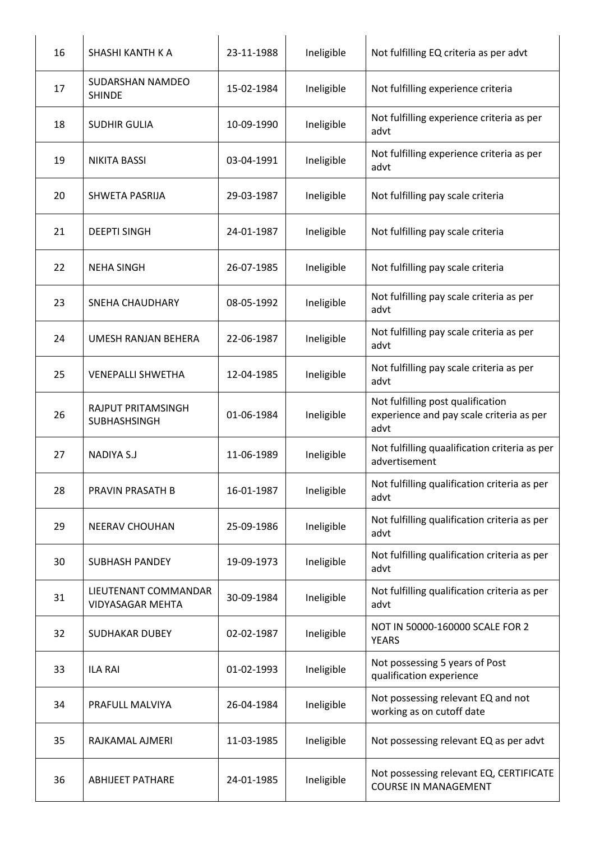| 16 | SHASHI KANTH K A                                | 23-11-1988 | Ineligible | Not fulfilling EQ criteria as per advt                                                |
|----|-------------------------------------------------|------------|------------|---------------------------------------------------------------------------------------|
| 17 | SUDARSHAN NAMDEO<br><b>SHINDE</b>               | 15-02-1984 | Ineligible | Not fulfilling experience criteria                                                    |
| 18 | <b>SUDHIR GULIA</b>                             | 10-09-1990 | Ineligible | Not fulfilling experience criteria as per<br>advt                                     |
| 19 | <b>NIKITA BASSI</b>                             | 03-04-1991 | Ineligible | Not fulfilling experience criteria as per<br>advt                                     |
| 20 | SHWETA PASRIJA                                  | 29-03-1987 | Ineligible | Not fulfilling pay scale criteria                                                     |
| 21 | <b>DEEPTI SINGH</b>                             | 24-01-1987 | Ineligible | Not fulfilling pay scale criteria                                                     |
| 22 | <b>NEHA SINGH</b>                               | 26-07-1985 | Ineligible | Not fulfilling pay scale criteria                                                     |
| 23 | <b>SNEHA CHAUDHARY</b>                          | 08-05-1992 | Ineligible | Not fulfilling pay scale criteria as per<br>advt                                      |
| 24 | UMESH RANJAN BEHERA                             | 22-06-1987 | Ineligible | Not fulfilling pay scale criteria as per<br>advt                                      |
| 25 | <b>VENEPALLI SHWETHA</b>                        | 12-04-1985 | Ineligible | Not fulfilling pay scale criteria as per<br>advt                                      |
| 26 | RAJPUT PRITAMSINGH<br>SUBHASHSINGH              | 01-06-1984 | Ineligible | Not fulfilling post qualification<br>experience and pay scale criteria as per<br>advt |
| 27 | <b>NADIYA S.J</b>                               | 11-06-1989 | Ineligible | Not fulfilling quaalification criteria as per<br>advertisement                        |
| 28 | PRAVIN PRASATH B                                | 16-01-1987 | Ineligible | Not fulfilling qualification criteria as per<br>advt                                  |
| 29 | <b>NEERAV CHOUHAN</b>                           | 25-09-1986 | Ineligible | Not fulfilling qualification criteria as per<br>advt                                  |
| 30 | <b>SUBHASH PANDEY</b>                           | 19-09-1973 | Ineligible | Not fulfilling qualification criteria as per<br>advt                                  |
| 31 | LIEUTENANT COMMANDAR<br><b>VIDYASAGAR MEHTA</b> | 30-09-1984 | Ineligible | Not fulfilling qualification criteria as per<br>advt                                  |
| 32 | <b>SUDHAKAR DUBEY</b>                           | 02-02-1987 | Ineligible | NOT IN 50000-160000 SCALE FOR 2<br><b>YEARS</b>                                       |
| 33 | <b>ILA RAI</b>                                  | 01-02-1993 | Ineligible | Not possessing 5 years of Post<br>qualification experience                            |
| 34 | PRAFULL MALVIYA                                 | 26-04-1984 | Ineligible | Not possessing relevant EQ and not<br>working as on cutoff date                       |
| 35 | RAJKAMAL AJMERI                                 | 11-03-1985 | Ineligible | Not possessing relevant EQ as per advt                                                |
| 36 | <b>ABHIJEET PATHARE</b>                         | 24-01-1985 | Ineligible | Not possessing relevant EQ, CERTIFICATE<br><b>COURSE IN MANAGEMENT</b>                |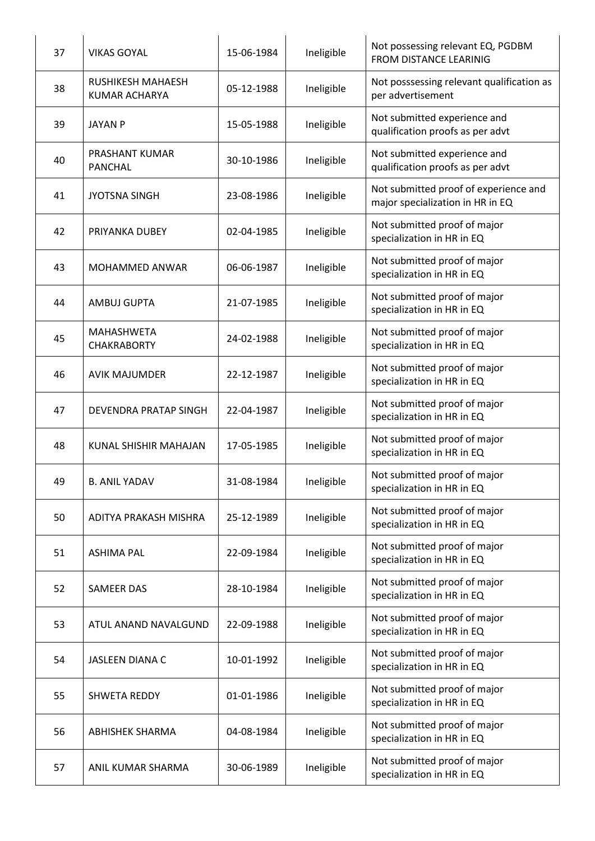| 37 | <b>VIKAS GOYAL</b>                               | 15-06-1984 | Ineligible | Not possessing relevant EQ, PGDBM<br><b>FROM DISTANCE LEARINIG</b>        |
|----|--------------------------------------------------|------------|------------|---------------------------------------------------------------------------|
| 38 | <b>RUSHIKESH MAHAESH</b><br><b>KUMAR ACHARYA</b> | 05-12-1988 | Ineligible | Not posssessing relevant qualification as<br>per advertisement            |
| 39 | <b>JAYAN P</b>                                   | 15-05-1988 | Ineligible | Not submitted experience and<br>qualification proofs as per advt          |
| 40 | PRASHANT KUMAR<br><b>PANCHAL</b>                 | 30-10-1986 | Ineligible | Not submitted experience and<br>qualification proofs as per advt          |
| 41 | <b>JYOTSNA SINGH</b>                             | 23-08-1986 | Ineligible | Not submitted proof of experience and<br>major specialization in HR in EQ |
| 42 | PRIYANKA DUBEY                                   | 02-04-1985 | Ineligible | Not submitted proof of major<br>specialization in HR in EQ                |
| 43 | MOHAMMED ANWAR                                   | 06-06-1987 | Ineligible | Not submitted proof of major<br>specialization in HR in EQ                |
| 44 | <b>AMBUJ GUPTA</b>                               | 21-07-1985 | Ineligible | Not submitted proof of major<br>specialization in HR in EQ                |
| 45 | <b>MAHASHWETA</b><br><b>CHAKRABORTY</b>          | 24-02-1988 | Ineligible | Not submitted proof of major<br>specialization in HR in EQ                |
| 46 | <b>AVIK MAJUMDER</b>                             | 22-12-1987 | Ineligible | Not submitted proof of major<br>specialization in HR in EQ                |
| 47 | DEVENDRA PRATAP SINGH                            | 22-04-1987 | Ineligible | Not submitted proof of major<br>specialization in HR in EQ                |
| 48 | KUNAL SHISHIR MAHAJAN                            | 17-05-1985 | Ineligible | Not submitted proof of major<br>specialization in HR in EQ                |
| 49 | <b>B. ANIL YADAV</b>                             | 31-08-1984 | Ineligible | Not submitted proof of major<br>specialization in HR in EQ                |
| 50 | ADITYA PRAKASH MISHRA                            | 25-12-1989 | Ineligible | Not submitted proof of major<br>specialization in HR in EQ                |
| 51 | <b>ASHIMA PAL</b>                                | 22-09-1984 | Ineligible | Not submitted proof of major<br>specialization in HR in EQ                |
| 52 | SAMEER DAS                                       | 28-10-1984 | Ineligible | Not submitted proof of major<br>specialization in HR in EQ                |
| 53 | ATUL ANAND NAVALGUND                             | 22-09-1988 | Ineligible | Not submitted proof of major<br>specialization in HR in EQ                |
| 54 | JASLEEN DIANA C                                  | 10-01-1992 | Ineligible | Not submitted proof of major<br>specialization in HR in EQ                |
| 55 | <b>SHWETA REDDY</b>                              | 01-01-1986 | Ineligible | Not submitted proof of major<br>specialization in HR in EQ                |
| 56 | <b>ABHISHEK SHARMA</b>                           | 04-08-1984 | Ineligible | Not submitted proof of major<br>specialization in HR in EQ                |
| 57 | ANIL KUMAR SHARMA                                | 30-06-1989 | Ineligible | Not submitted proof of major<br>specialization in HR in EQ                |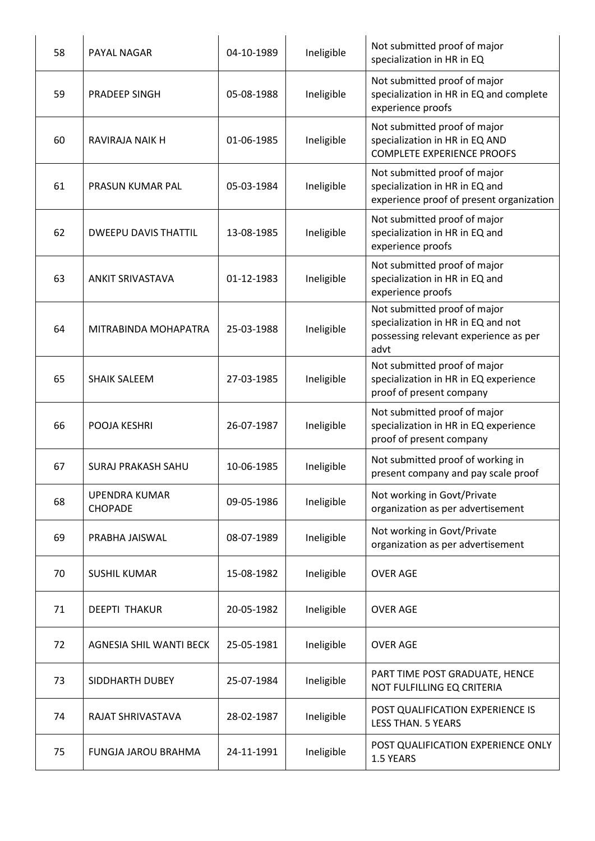| 58 | PAYAL NAGAR                            | 04-10-1989 | Ineligible | Not submitted proof of major<br>specialization in HR in EQ                                                          |
|----|----------------------------------------|------------|------------|---------------------------------------------------------------------------------------------------------------------|
| 59 | PRADEEP SINGH                          | 05-08-1988 | Ineligible | Not submitted proof of major<br>specialization in HR in EQ and complete<br>experience proofs                        |
| 60 | <b>RAVIRAJA NAIK H</b>                 | 01-06-1985 | Ineligible | Not submitted proof of major<br>specialization in HR in EQ AND<br><b>COMPLETE EXPERIENCE PROOFS</b>                 |
| 61 | PRASUN KUMAR PAL                       | 05-03-1984 | Ineligible | Not submitted proof of major<br>specialization in HR in EQ and<br>experience proof of present organization          |
| 62 | <b>DWEEPU DAVIS THATTIL</b>            | 13-08-1985 | Ineligible | Not submitted proof of major<br>specialization in HR in EQ and<br>experience proofs                                 |
| 63 | <b>ANKIT SRIVASTAVA</b>                | 01-12-1983 | Ineligible | Not submitted proof of major<br>specialization in HR in EQ and<br>experience proofs                                 |
| 64 | MITRABINDA MOHAPATRA                   | 25-03-1988 | Ineligible | Not submitted proof of major<br>specialization in HR in EQ and not<br>possessing relevant experience as per<br>advt |
| 65 | <b>SHAIK SALEEM</b>                    | 27-03-1985 | Ineligible | Not submitted proof of major<br>specialization in HR in EQ experience<br>proof of present company                   |
| 66 | POOJA KESHRI                           | 26-07-1987 | Ineligible | Not submitted proof of major<br>specialization in HR in EQ experience<br>proof of present company                   |
| 67 | SURAJ PRAKASH SAHU                     | 10-06-1985 | Ineligible | Not submitted proof of working in<br>present company and pay scale proof                                            |
| 68 | <b>UPENDRA KUMAR</b><br><b>CHOPADE</b> | 09-05-1986 | Ineligible | Not working in Govt/Private<br>organization as per advertisement                                                    |
| 69 | PRABHA JAISWAL                         | 08-07-1989 | Ineligible | Not working in Govt/Private<br>organization as per advertisement                                                    |
| 70 | <b>SUSHIL KUMAR</b>                    | 15-08-1982 | Ineligible | <b>OVER AGE</b>                                                                                                     |
| 71 | <b>DEEPTI THAKUR</b>                   | 20-05-1982 | Ineligible | <b>OVER AGE</b>                                                                                                     |
| 72 | AGNESIA SHIL WANTI BECK                | 25-05-1981 | Ineligible | <b>OVER AGE</b>                                                                                                     |
| 73 | SIDDHARTH DUBEY                        | 25-07-1984 | Ineligible | PART TIME POST GRADUATE, HENCE<br>NOT FULFILLING EQ CRITERIA                                                        |
| 74 | RAJAT SHRIVASTAVA                      | 28-02-1987 | Ineligible | POST QUALIFICATION EXPERIENCE IS<br><b>LESS THAN. 5 YEARS</b>                                                       |
| 75 | FUNGJA JAROU BRAHMA                    | 24-11-1991 | Ineligible | POST QUALIFICATION EXPERIENCE ONLY<br>1.5 YEARS                                                                     |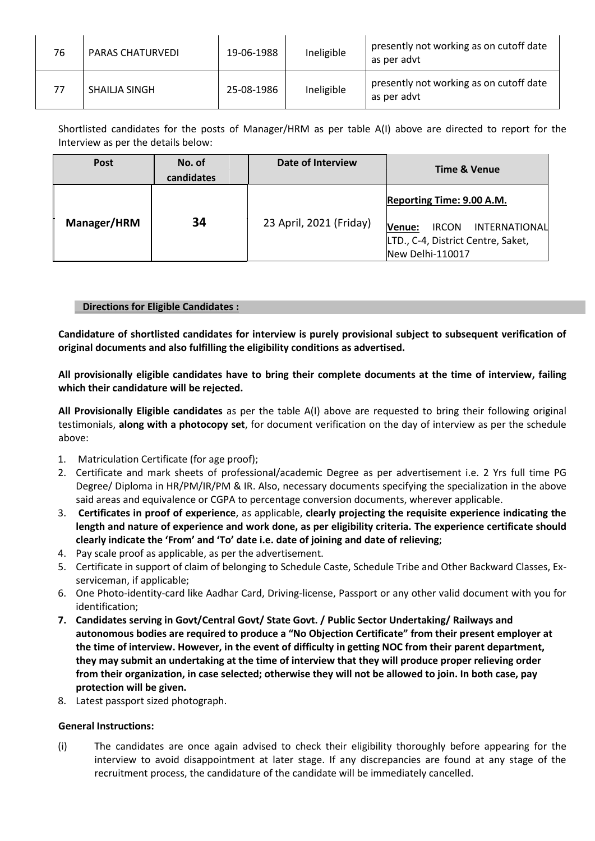| 76 | <b>PARAS CHATURVEDI</b> | 19-06-1988 | Ineligible | presently not working as on cutoff date<br>as per advt |
|----|-------------------------|------------|------------|--------------------------------------------------------|
| 77 | SHAILJA SINGH           | 25-08-1986 | Ineligible | presently not working as on cutoff date<br>as per advt |

Shortlisted candidates for the posts of Manager/HRM as per table A(I) above are directed to report for the Interview as per the details below:

| <b>Post</b>        | No. of<br>candidates | Date of Interview       | <b>Time &amp; Venue</b>                                                                                                               |
|--------------------|----------------------|-------------------------|---------------------------------------------------------------------------------------------------------------------------------------|
| <b>Manager/HRM</b> | 34                   | 23 April, 2021 (Friday) | Reporting Time: 9.00 A.M.<br><b>IRCON</b><br>INTERNATIONAL<br><b>Nenue:</b><br>LTD., C-4, District Centre, Saket,<br>New Delhi-110017 |

### **Directions for Eligible Candidates :**

**Candidature of shortlisted candidates for interview is purely provisional subject to subsequent verification of original documents and also fulfilling the eligibility conditions as advertised.**

**All provisionally eligible candidates have to bring their complete documents at the time of interview, failing which their candidature will be rejected.**

**All Provisionally Eligible candidates** as per the table A(I) above are requested to bring their following original testimonials, **along with a photocopy set**, for document verification on the day of interview as per the schedule above:

- 1. Matriculation Certificate (for age proof);
- 2. Certificate and mark sheets of professional/academic Degree as per advertisement i.e. 2 Yrs full time PG Degree/ Diploma in HR/PM/IR/PM & IR. Also, necessary documents specifying the specialization in the above said areas and equivalence or CGPA to percentage conversion documents, wherever applicable.
- 3. **Certificates in proof of experience**, as applicable, **clearly projecting the requisite experience indicating the length and nature of experience and work done, as per eligibility criteria. The experience certificate should clearly indicate the 'From' and 'To' date i.e. date of joining and date of relieving**;
- 4. Pay scale proof as applicable, as per the advertisement.
- 5. Certificate in support of claim of belonging to Schedule Caste, Schedule Tribe and Other Backward Classes, Exserviceman, if applicable;
- 6. One Photo-identity-card like Aadhar Card, Driving-license, Passport or any other valid document with you for identification;
- **7. Candidates serving in Govt/Central Govt/ State Govt. / Public Sector Undertaking/ Railways and autonomous bodies are required to produce a "No Objection Certificate" from their present employer at the time of interview. However, in the event of difficulty in getting NOC from their parent department, they may submit an undertaking at the time of interview that they will produce proper relieving order from their organization, in case selected; otherwise they will not be allowed to join. In both case, pay protection will be given.**
- 8. Latest passport sized photograph.

### **General Instructions:**

(i) The candidates are once again advised to check their eligibility thoroughly before appearing for the interview to avoid disappointment at later stage. If any discrepancies are found at any stage of the recruitment process, the candidature of the candidate will be immediately cancelled.